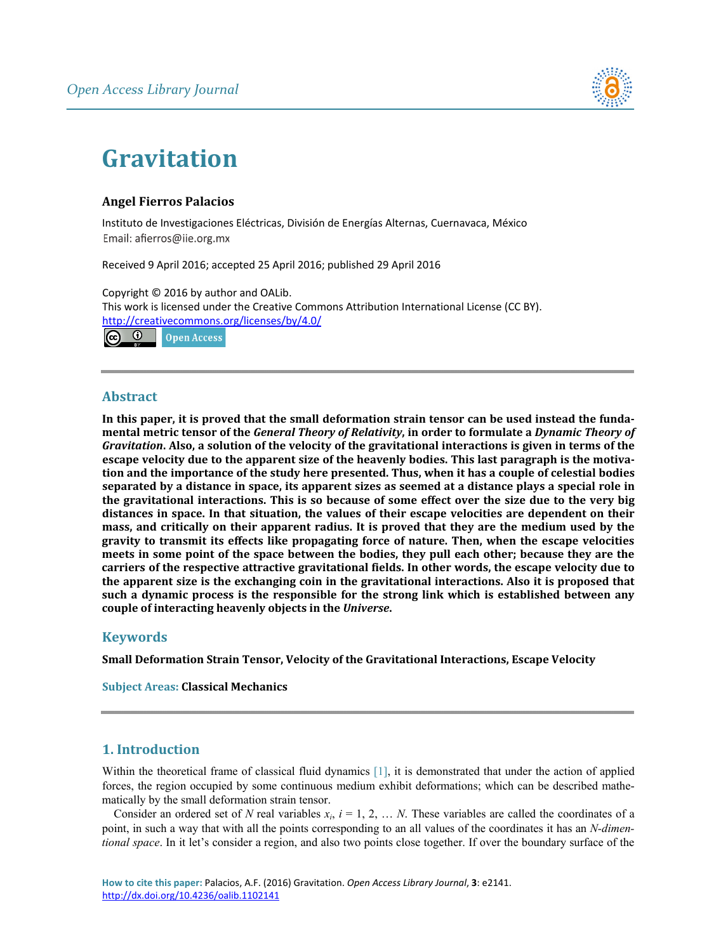

# **Gravitation**

# **Angel Fierros Palacios**

Instituto de Investigaciones Eléctricas, División de Energías Alternas, Cuernavaca, México Email: afierros@ije.org.mx

Received 9 April 2016; accepted 25 April 2016; published 29 April 2016

Copyright © 2016 by author and OALib. This work is licensed under the Creative Commons Attribution International License (CC BY). <http://creativecommons.org/licenses/by/4.0/>



# **Abstract**

In this paper, it is proved that the small deformation strain tensor can be used instead the fundamental metric tensor of the General Theory of Relativity, in order to formulate a Dynamic Theory of Gravitation. Also, a solution of the velocity of the gravitational interactions is given in terms of the **escape velocity due to the apparent size of the heavenly bodies. This last paragraph is the motiva**tion and the importance of the study here presented. Thus, when it has a couple of celestial bodies separated by a distance in space, its apparent sizes as seemed at a distance plays a special role in the gravitational interactions. This is so because of some effect over the size due to the very big **distances in space. In that situation, the values of their escape velocities are dependent on their mass, and critically on their apparent radius. It is proved that they are the medium used by the gravity to transmit its effects like propagating force of nature. Then, when the escape velocities meets in some point of the space between the bodies, they pull each other; because they are the carriers of the respective attractive gravitational fields. In other words, the escape velocity due to the apparent size is the exchanging coin in the gravitational interactions. Also it is proposed that such a dynamic process is the responsible for the strong link which is established between any couple of interacting heavenly objects in the** *Universe***.**

# **Keywords**

**Small Deformation Strain Tensor, Velocity of the Gravitational Interactions, Escape Velocity**

**Subject Areas: Classical Mechanics**

# **1. Introduction**

Within the theoretical frame of classical fluid dynamics [\[1\],](#page-9-0) it is demonstrated that under the action of applied forces, the region occupied by some continuous medium exhibit deformations; which can be described mathematically by the small deformation strain tensor.

Consider an ordered set of *N* real variables  $x_i$ ,  $i = 1, 2, \ldots N$ . These variables are called the coordinates of a point, in such a way that with all the points corresponding to an all values of the coordinates it has an *N-dimentional space*. In it let's consider a region, and also two points close together. If over the boundary surface of the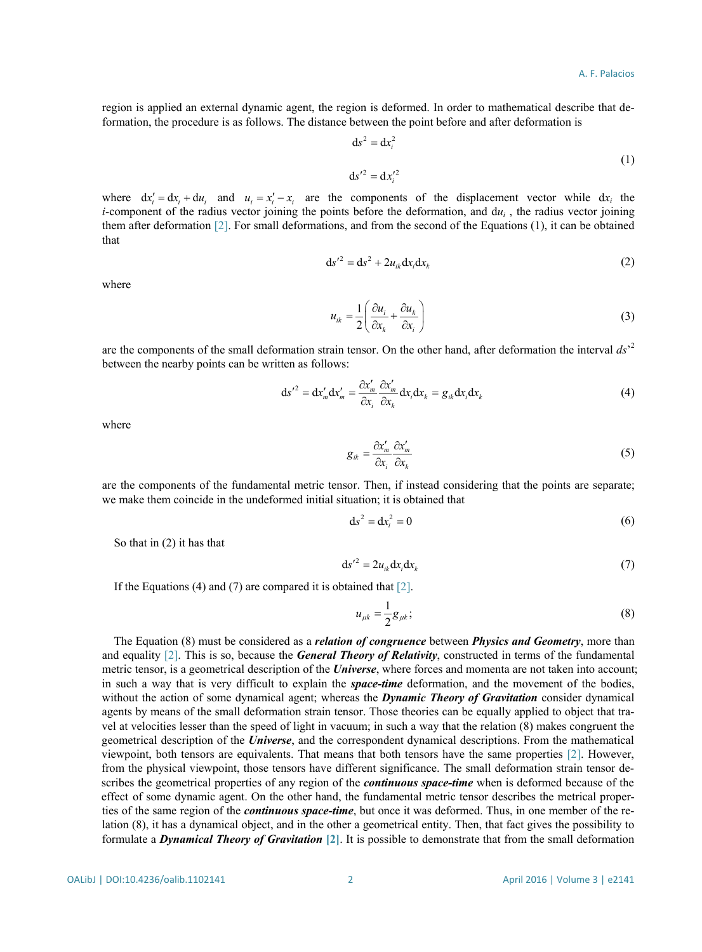region is applied an external dynamic agent, the region is deformed. In order to mathematical describe that deformation, the procedure is as follows. The distance between the point before and after deformation is

$$
ds^2 = dx_i^2
$$
  
\n
$$
ds'^2 = dx_i'^2
$$
\n(1)

where  $dx'_i = dx_i + du_i$  and  $u_i = x'_i - x_i$  are the components of the displacement vector while  $dx_i$  the *i*-component of the radius vector joining the points before the deformation, and  $du_i$ , the radius vector joining them after deformation [\[2\].](#page-9-1) For small deformations, and from the second of the Equations (1), it can be obtained that

$$
ds^2 = ds^2 + 2u_{ik}dx_i dx_k
$$
 (2)

where

$$
u_{ik} = \frac{1}{2} \left( \frac{\partial u_i}{\partial x_k} + \frac{\partial u_k}{\partial x_i} \right)
$$
 (3)

are the components of the small deformation strain tensor. On the other hand, after deformation the interval *ds*' 2 between the nearby points can be written as follows:

$$
ds^{\prime 2} = dx'_{m} dx'_{m} = \frac{\partial x'_{m}}{\partial x_{i}} \frac{\partial x'_{m}}{\partial x_{k}} dx_{i} dx_{k} = g_{ik} dx_{i} dx_{k}
$$
(4)

where

$$
g_{ik} = \frac{\partial x'_m}{\partial x_i} \frac{\partial x'_m}{\partial x_k} \tag{5}
$$

are the components of the fundamental metric tensor. Then, if instead considering that the points are separate; we make them coincide in the undeformed initial situation; it is obtained that

$$
ds^2 = dx_i^2 = 0 \tag{6}
$$

So that in (2) it has that

$$
ds'^2 = 2u_{ik}dx_i dx_k \tag{7}
$$

If the Equations (4) and (7) are compared it is obtained that  $[2]$ .

$$
u_{\mu k} = \frac{1}{2} g_{\mu k};
$$
\n(8)

The Equation (8) must be considered as a *relation of congruence* between *Physics and Geometry*, more than and equality [\[2\].](#page-9-1) This is so, because the *General Theory of Relativity*, constructed in terms of the fundamental metric tensor, is a geometrical description of the *Universe*, where forces and momenta are not taken into account; in such a way that is very difficult to explain the *space-time* deformation, and the movement of the bodies, without the action of some dynamical agent; whereas the *Dynamic Theory of Gravitation* consider dynamical agents by means of the small deformation strain tensor. Those theories can be equally applied to object that travel at velocities lesser than the speed of light in vacuum; in such a way that the relation (8) makes congruent the geometrical description of the *Universe*, and the correspondent dynamical descriptions. From the mathematical viewpoint, both tensors are equivalents. That means that both tensors have the same properties [\[2\].](#page-9-1) However, from the physical viewpoint, those tensors have different significance. The small deformation strain tensor describes the geometrical properties of any region of the *continuous space-time* when is deformed because of the effect of some dynamic agent. On the other hand, the fundamental metric tensor describes the metrical properties of the same region of the *continuous space-time*, but once it was deformed. Thus, in one member of the relation (8), it has a dynamical object, and in the other a geometrical entity. Then, that fact gives the possibility to formulate a *Dynamical Theory of Gravitation* **[\[2\]](#page-9-1)**. It is possible to demonstrate that from the small deformation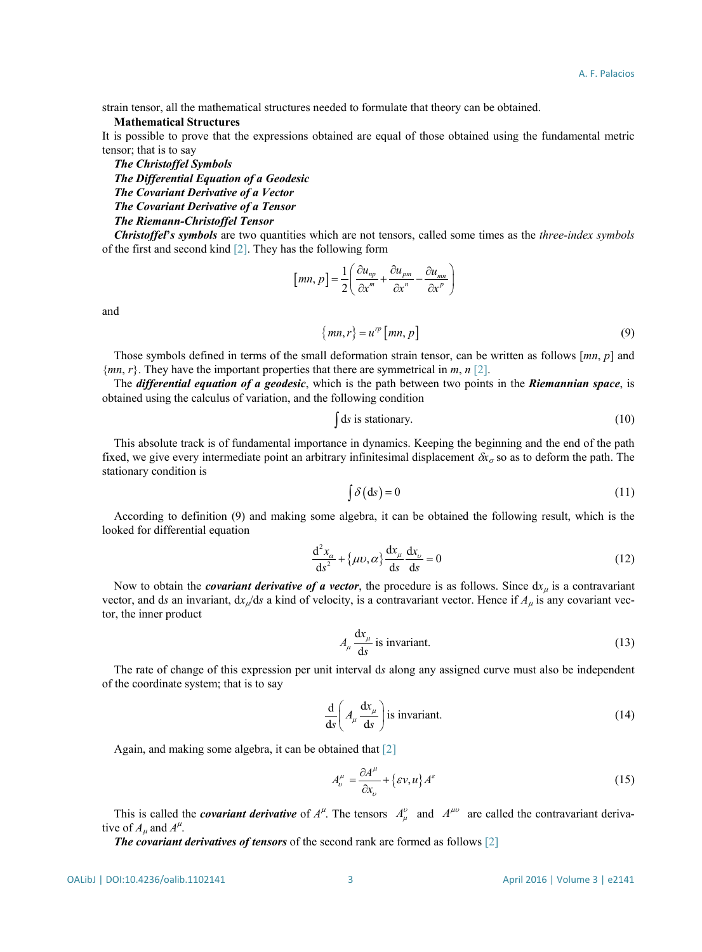strain tensor, all the mathematical structures needed to formulate that theory can be obtained.

## **Mathematical Structures**

It is possible to prove that the expressions obtained are equal of those obtained using the fundamental metric tensor; that is to say

*The Christoffel Symbols*

*The Differential Equation of a Geodesic*

*The Covariant Derivative of a Vector*

*The Covariant Derivative of a Tensor*

## *The Riemann-Christoffel Tensor*

*Christoffel***'***s symbols* are two quantities which are not tensors, called some times as the *three-index symbols* of the first and second kind [\[2\].](#page-9-1) They has the following form

$$
[mn, p] = \frac{1}{2} \left( \frac{\partial u_{np}}{\partial x^m} + \frac{\partial u_{pm}}{\partial x^n} - \frac{\partial u_{mn}}{\partial x^p} \right)
$$

and

$$
\{mn, r\} = u^{\prime p} \left[ mn, p \right] \tag{9}
$$

Those symbols defined in terms of the small deformation strain tensor, can be written as follows [*mn*, *p*] and {*mn*, *r*}. They have the important properties that there are symmetrical in *m*, *n* [\[2\].](#page-9-1)

The *differential equation of a geodesic*, which is the path between two points in the *Riemannian space*, is obtained using the calculus of variation, and the following condition

$$
\int ds \text{ is stationary.} \tag{10}
$$

This absolute track is of fundamental importance in dynamics. Keeping the beginning and the end of the path fixed, we give every intermediate point an arbitrary infinitesimal displacement  $\delta x_\sigma$  so as to deform the path. The stationary condition is

$$
\int \delta \, \mathrm{(ds)} = 0 \tag{11}
$$

According to definition (9) and making some algebra, it can be obtained the following result, which is the looked for differential equation

$$
\frac{d^2x_{\alpha}}{ds^2} + {\mu\nu, \alpha} \frac{dx_{\mu}}{ds} \frac{dx_{\nu}}{ds} = 0
$$
\n(12)

Now to obtain the *covariant derivative of a vector*, the procedure is as follows. Since  $dx_\mu$  is a contravariant vector, and ds an invariant,  $dx_{\mu}/ds$  a kind of velocity, is a contravariant vector. Hence if  $A_{\mu}$  is any covariant vector, the inner product

$$
A_{\mu} \frac{dx_{\mu}}{ds}
$$
 is invariant. (13)

The rate of change of this expression per unit interval d*s* along any assigned curve must also be independent of the coordinate system; that is to say

$$
\frac{d}{ds} \left( A_{\mu} \frac{dx_{\mu}}{ds} \right)
$$
 is invariant. (14)

Again, and making some algebra, it can be obtained that [\[2\]](#page-9-1)

$$
A_{\nu}^{\mu} = \frac{\partial A^{\mu}}{\partial x_{\nu}} + \{\varepsilon v, u\} A^{\varepsilon}
$$
 (15)

This is called the *covariant derivative* of  $A^{\mu}$ . The tensors  $A^{\nu}_{\mu}$  and  $A^{\mu\nu}$  are called the contravariant derivative of  $A_\mu$  and  $A^\mu$ .

*The covariant derivatives of tensors* of the second rank are formed as follows [\[2\]](#page-9-1)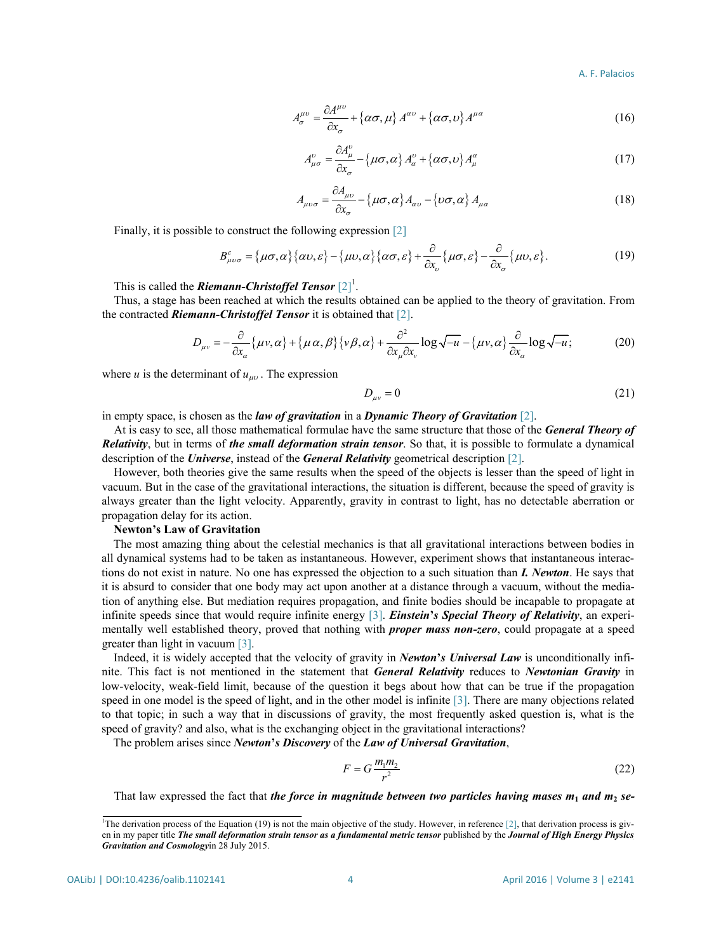$$
A_{\sigma}^{\mu\nu} = \frac{\partial A^{\mu\nu}}{\partial x_{\sigma}} + \{\alpha\sigma, \mu\} A^{\alpha\nu} + \{\alpha\sigma, \nu\} A^{\mu\alpha} \tag{16}
$$

$$
A_{\mu\sigma}^{\nu} = \frac{\partial A_{\mu}^{\nu}}{\partial x_{\sigma}} - {\mu\sigma, \alpha} A_{\alpha}^{\nu} + {\alpha\sigma, \nu} A_{\mu}^{\alpha}
$$
 (17)

$$
A_{\mu\nu\sigma} = \frac{\partial A_{\mu\nu}}{\partial x_{\sigma}} - {\mu\sigma, \alpha} A_{\alpha\nu} - {\nu\sigma, \alpha} A_{\mu\alpha}
$$
 (18)

Finally, it is possible to construct the following expression [\[2\]](#page-9-1)

$$
B_{\mu\nu\sigma}^{\varepsilon} = {\mu\sigma,\alpha}{\alpha\zeta\omega,\varepsilon} - {\mu\nu,\alpha}{\alpha\zeta\alpha,\varepsilon} + \frac{\partial}{\partial x_{\nu}}{\mu\sigma,\varepsilon} - \frac{\partial}{\partial x_{\sigma}}{\mu\nu,\varepsilon}.
$$
 (19)

This is called the *Riemann-Christoffel Tensor* [2]<sup>1</sup>.

Thus, a stage has been reached at which the results obtained can be applied to the theory of gravitation. From the contracted *Riemann-Christoffel Tensor* it is obtained that [\[2\].](#page-9-1)

$$
D_{\mu\nu} = -\frac{\partial}{\partial x_{\alpha}} \{ \mu v, \alpha \} + \{ \mu \alpha, \beta \} \{ v \beta, \alpha \} + \frac{\partial^2}{\partial x_{\mu} \partial x_{\nu}} \log \sqrt{-u} - \{ \mu v, \alpha \} \frac{\partial}{\partial x_{\alpha}} \log \sqrt{-u};
$$
(20)

where *u* is the determinant of  $u_{uv}$ . The expression

$$
D_{\mu\nu} = 0 \tag{21}
$$

in empty space, is chosen as the *law of gravitation* in a *Dynamic Theory of Gravitation* [\[2\].](#page-9-1)

At is easy to see, all those mathematical formulae have the same structure that those of the *General Theory of Relativity*, but in terms of *the small deformation strain tensor*. So that, it is possible to formulate a dynamical description of the *Universe*, instead of the *General Relativity* geometrical description [\[2\].](#page-9-1)

However, both theories give the same results when the speed of the objects is lesser than the speed of light in vacuum. But in the case of the gravitational interactions, the situation is different, because the speed of gravity is always greater than the light velocity. Apparently, gravity in contrast to light, has no detectable aberration or propagation delay for its action.

## **Newton's Law of Gravitation**

The most amazing thing about the celestial mechanics is that all gravitational interactions between bodies in all dynamical systems had to be taken as instantaneous. However, experiment shows that instantaneous interactions do not exist in nature. No one has expressed the objection to a such situation than *I. Newton*. He says that it is absurd to consider that one body may act upon another at a distance through a vacuum, without the mediation of anything else. But mediation requires propagation, and finite bodies should be incapable to propagate at infinite speeds since that would require infinite energy [\[3\].](#page-9-2) *Einstein***'***s Special Theory of Relativity*, an experimentally well established theory, proved that nothing with *proper mass non-zero*, could propagate at a speed greater than light in vacuum [\[3\].](#page-9-2)

Indeed, it is widely accepted that the velocity of gravity in *Newton***'***s Universal Law* is unconditionally infinite. This fact is not mentioned in the statement that *General Relativity* reduces to *Newtonian Gravity* in low-velocity, weak-field limit, because of the question it begs about how that can be true if the propagation speed in one model is the speed of light, and in the other model is infinite [\[3\].](#page-9-2) There are many objections related to that topic; in such a way that in discussions of gravity, the most frequently asked question is, what is the speed of gravity? and also, what is the exchanging object in the gravitational interactions?

The problem arises since *Newton***'***s Discovery* of the *Law of Universal Gravitation*,

$$
F = G \frac{m_1 m_2}{r^2} \tag{22}
$$

That law expressed the fact that *the force in magnitude between two particles having mases m***<sup>1</sup>** *and m***<sup>2</sup>** *se-*

<sup>&</sup>lt;sup>1</sup>The derivation process of the Equation (19) is not the main objective of the study. However, in reference  $[2]$ , that derivation process is given in my paper title The small deformation strain tensor as a fundamental metric tensor published by the Journal of High Energy Physics *Gravitation and Cosmology*in 28 July 2015.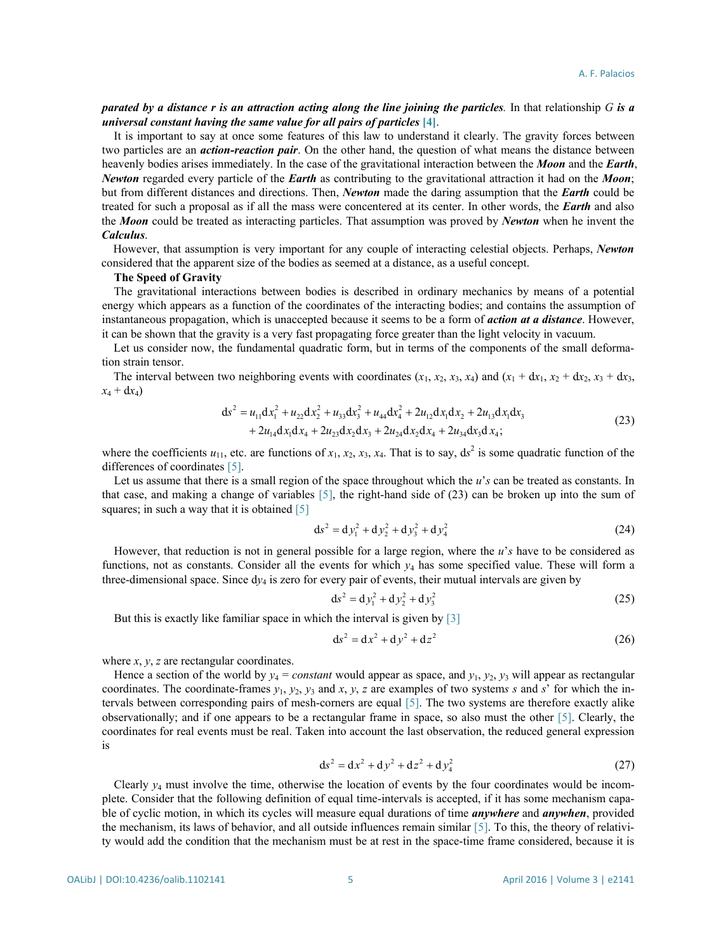## parated by a distance r is an attraction acting along the line joining the particles. In that relationship  $G$  is a *universal constant having the same value for all pairs of particles* **[\[4\]](#page-9-3)**.

It is important to say at once some features of this law to understand it clearly. The gravity forces between two particles are an *action-reaction pair*. On the other hand, the question of what means the distance between heavenly bodies arises immediately. In the case of the gravitational interaction between the *Moon* and the *Earth*, *Newton* regarded every particle of the *Earth* as contributing to the gravitational attraction it had on the *Moon*; but from different distances and directions. Then, *Newton* made the daring assumption that the *Earth* could be treated for such a proposal as if all the mass were concentered at its center. In other words, the *Earth* and also the *Moon* could be treated as interacting particles. That assumption was proved by *Newton* when he invent the *Calculus*.

However, that assumption is very important for any couple of interacting celestial objects. Perhaps, *Newton* considered that the apparent size of the bodies as seemed at a distance, as a useful concept.

#### **The Speed of Gravity**

The gravitational interactions between bodies is described in ordinary mechanics by means of a potential energy which appears as a function of the coordinates of the interacting bodies; and contains the assumption of instantaneous propagation, which is unaccepted because it seems to be a form of *action at a distance*. However, it can be shown that the gravity is a very fast propagating force greater than the light velocity in vacuum.

Let us consider now, the fundamental quadratic form, but in terms of the components of the small deformation strain tensor.

The interval between two neighboring events with coordinates  $(x_1, x_2, x_3, x_4)$  and  $(x_1 + dx_1, x_2 + dx_2, x_3 + dx_3)$  $x_4 + dx_4$ 

$$
ds^{2} = u_{11}dx_{1}^{2} + u_{22}dx_{2}^{2} + u_{33}dx_{3}^{2} + u_{44}dx_{4}^{2} + 2u_{12}dx_{1}dx_{2} + 2u_{13}dx_{1}dx_{3}
$$
  
+ 2u<sub>14</sub>dx<sub>1</sub>dx<sub>4</sub> + 2u<sub>23</sub>dx<sub>2</sub>dx<sub>3</sub> + 2u<sub>24</sub>dx<sub>2</sub>dx<sub>4</sub> + 2u<sub>34</sub>dx<sub>3</sub>dx<sub>4</sub>;  
(23)

where the coefficients  $u_{11}$ , etc. are functions of  $x_1, x_2, x_3, x_4$ . That is to say,  $ds^2$  is some quadratic function of the differences of coordinates [\[5\].](#page-9-4)

Let us assume that there is a small region of the space throughout which the *u*'s can be treated as constants. In that case, and making a change of variables [\[5\],](#page-9-4) the right-hand side of (23) can be broken up into the sum of squares; in such a way that it is obtained [\[5\]](#page-9-4)

$$
ds^{2} = dy_{1}^{2} + dy_{2}^{2} + dy_{3}^{2} + dy_{4}^{2}
$$
 (24)

However, that reduction is not in general possible for a large region, where the *u*'*s* have to be considered as functions, not as constants. Consider all the events for which *y*<sup>4</sup> has some specified value. These will form a three-dimensional space. Since  $dy_4$  is zero for every pair of events, their mutual intervals are given by

$$
ds^2 = dy_1^2 + dy_2^2 + dy_3^2
$$
 (25)

But this is exactly like familiar space in which the interval is given by [\[3\]](#page-9-2)

$$
ds^2 = dx^2 + dy^2 + dz^2
$$
 (26)

where *x*, *y*, *z* are rectangular coordinates.

Hence a section of the world by  $y_4 = constant$  would appear as space, and  $y_1$ ,  $y_2$ ,  $y_3$  will appear as rectangular coordinates. The coordinate-frames  $y_1, y_2, y_3$  and  $x, y, z$  are examples of two systems *s* and *s*' for which the intervals between corresponding pairs of mesh-corners are equal [\[5\].](#page-9-4) The two systems are therefore exactly alike observationally; and if one appears to be a rectangular frame in space, so also must the other [\[5\].](#page-9-4) Clearly, the coordinates for real events must be real. Taken into account the last observation, the reduced general expression is

$$
ds^{2} = dx^{2} + dy^{2} + dz^{2} + dy_{4}^{2}
$$
 (27)

Clearly *y*<sup>4</sup> must involve the time, otherwise the location of events by the four coordinates would be incomplete. Consider that the following definition of equal time-intervals is accepted, if it has some mechanism capable of cyclic motion, in which its cycles will measure equal durations of time *anywhere* and *anywhen*, provided the mechanism, its laws of behavior, and all outside influences remain similar [\[5\].](#page-9-4) To this, the theory of relativity would add the condition that the mechanism must be at rest in the space-time frame considered, because it is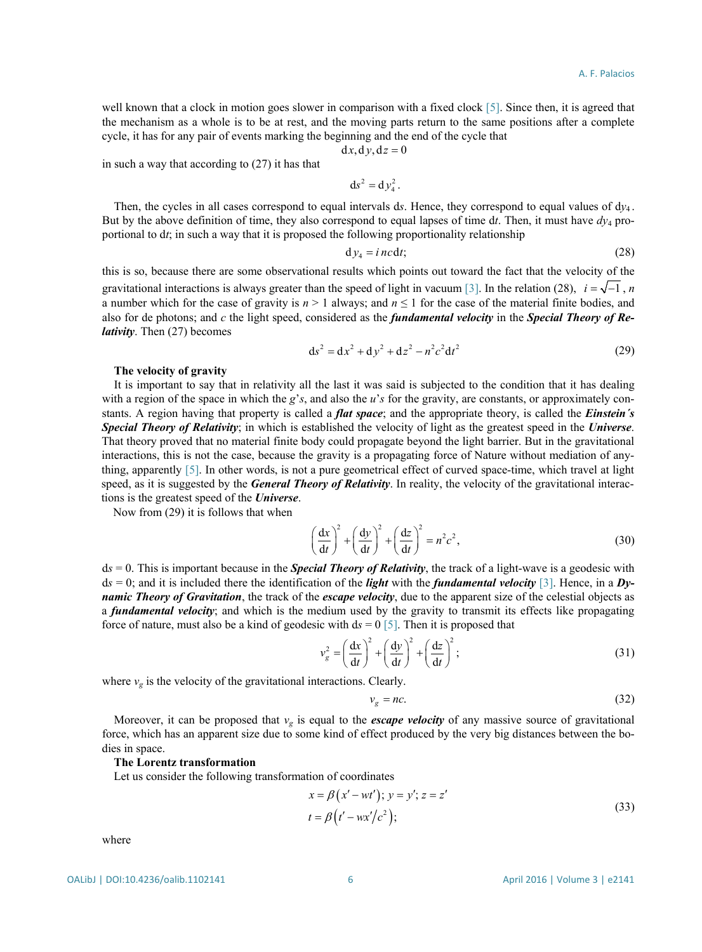well known that a clock in motion goes slower in comparison with a fixed clock [\[5\].](#page-9-4) Since then, it is agreed that the mechanism as a whole is to be at rest, and the moving parts return to the same positions after a complete cycle, it has for any pair of events marking the beginning and the end of the cycle that

$$
dx, dy, dz = 0
$$

in such a way that according to (27) it has that

$$
ds^2 = d y_4^2.
$$

Then, the cycles in all cases correspond to equal intervals d*s*. Hence, they correspond to equal values of d*y*<sup>4</sup> . But by the above definition of time, they also correspond to equal lapses of time dt. Then, it must have  $dy_4$  proportional to d*t*; in such a way that it is proposed the following proportionality relationship

$$
dy_4 = i \, n \, c \, dt; \tag{28}
$$

this is so, because there are some observational results which points out toward the fact that the velocity of the gravitational interactions is always greater than the speed of light in vacuum [\[3\].](#page-9-2) In the relation (28),  $i = \sqrt{-1}$ , *n* a number which for the case of gravity is  $n > 1$  always; and  $n \le 1$  for the case of the material finite bodies, and also for de photons; and *c* the light speed, considered as the *fundamental velocity* in the *Special Theory of Relativity*. Then (27) becomes

$$
ds^{2} = dx^{2} + dy^{2} + dz^{2} - n^{2}c^{2}dt^{2}
$$
 (29)

#### **The velocity of gravity**

It is important to say that in relativity all the last it was said is subjected to the condition that it has dealing with a region of the space in which the *g*'*s*, and also the *u*'*s* for the gravity, are constants, or approximately constants. A region having that property is called a *flat space*; and the appropriate theory, is called the *Einstein´s Special Theory of Relativity*; in which is established the velocity of light as the greatest speed in the *Universe*. That theory proved that no material finite body could propagate beyond the light barrier. But in the gravitational interactions, this is not the case, because the gravity is a propagating force of Nature without mediation of anything, apparently [\[5\].](#page-9-4) In other words, is not a pure geometrical effect of curved space-time, which travel at light speed, as it is suggested by the *General Theory of Relativity*. In reality, the velocity of the gravitational interactions is the greatest speed of the *Universe*.

Now from (29) it is follows that when

$$
\left(\frac{\mathrm{d}x}{\mathrm{d}t}\right)^2 + \left(\frac{\mathrm{d}y}{\mathrm{d}t}\right)^2 + \left(\frac{\mathrm{d}z}{\mathrm{d}t}\right)^2 = n^2c^2,\tag{30}
$$

d*s* = 0. This is important because in the *Special Theory of Relativity*, the track of a light-wave is a geodesic with d*s* = 0; and it is included there the identification of the *light* with the *fundamental velocity* [\[3\].](#page-9-2) Hence, in a *Dynamic Theory of Gravitation*, the track of the *escape velocity*, due to the apparent size of the celestial objects as a *fundamental velocity*; and which is the medium used by the gravity to transmit its effects like propagating force of nature, must also be a kind of geodesic with d*s* = 0 [\[5\].](#page-9-4) Then it is proposed that

$$
v_g^2 = \left(\frac{\mathrm{d}x}{\mathrm{d}t}\right)^2 + \left(\frac{\mathrm{d}y}{\mathrm{d}t}\right)^2 + \left(\frac{\mathrm{d}z}{\mathrm{d}t}\right)^2; \tag{31}
$$

where  $v_g$  is the velocity of the gravitational interactions. Clearly.

$$
v_g = nc. \tag{32}
$$

Moreover, it can be proposed that  $v_g$  is equal to the *escape velocity* of any massive source of gravitational force, which has an apparent size due to some kind of effect produced by the very big distances between the bodies in space.

## **The Lorentz transformation**

Let us consider the following transformation of coordinates

$$
x = \beta (x' - wt'); y = y'; z = z't = \beta (t' - wx'/c2);
$$
\n(33)

where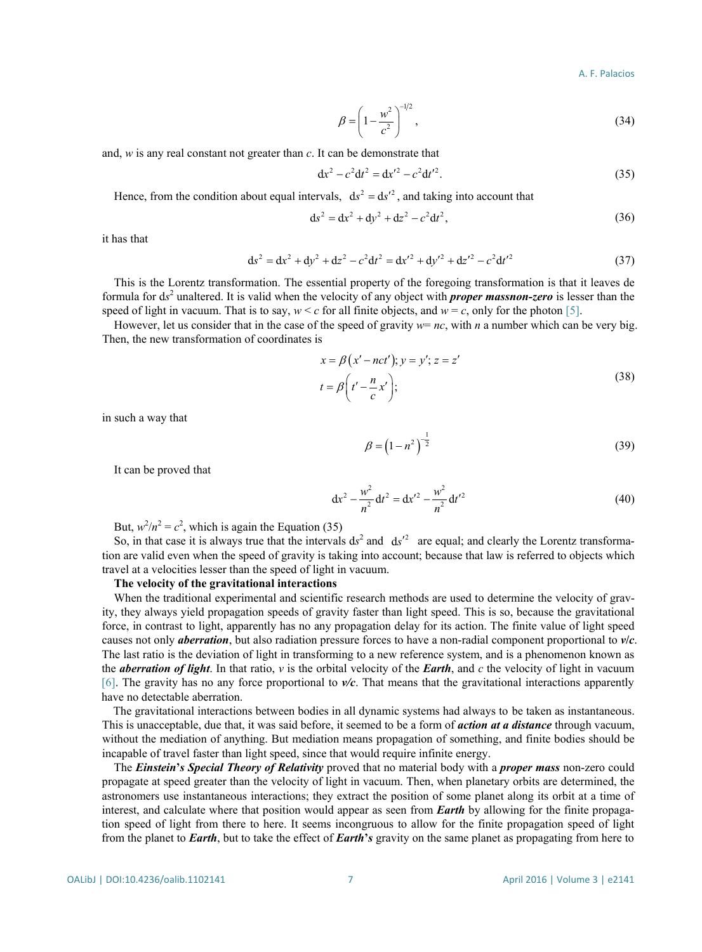$$
\beta = \left(1 - \frac{w^2}{c^2}\right)^{-1/2},
$$
\n(34)

and, *w* is any real constant not greater than *c*. It can be demonstrate that

$$
dx^{2} - c^{2} dt^{2} = dx'^{2} - c^{2} dt'^{2}.
$$
 (35)

Hence, from the condition about equal intervals,  $ds^2 = ds'^2$ , and taking into account that

$$
ds2 = dx2 + dy2 + dz2 - c2 dt2,
$$
 (36)

it has that

$$
ds^{2} = dx^{2} + dy^{2} + dz^{2} - c^{2} dt^{2} = dx'^{2} + dy'^{2} + dz'^{2} - c^{2} dt'^{2}
$$
 (37)

This is the Lorentz transformation. The essential property of the foregoing transformation is that it leaves de formula for d*s* <sup>2</sup> unaltered. It is valid when the velocity of any object with *proper massnon-zero* is lesser than the speed of light in vacuum. That is to say,  $w < c$  for all finite objects, and  $w = c$ , only for the photon [\[5\].](#page-9-4)

However, let us consider that in the case of the speed of gravity  $w = nc$ , with *n* a number which can be very big. Then, the new transformation of coordinates is

$$
x = \beta (x' - nct'); y = y'; z = z'
$$
  
\n
$$
t = \beta \left( t' - \frac{n}{c} x' \right);
$$
\n(38)

in such a way that

$$
\beta = \left(1 - n^2\right)^{-\frac{1}{2}}\tag{39}
$$

It can be proved that

$$
dx^{2} - \frac{w^{2}}{n^{2}} dt^{2} = dx'^{2} - \frac{w^{2}}{n^{2}} dt'^{2}
$$
 (40)

But,  $w^2/n^2 = c^2$ , which is again the Equation (35)

So, in that case it is always true that the intervals  $ds^2$  and  $ds'^2$  are equal; and clearly the Lorentz transformation are valid even when the speed of gravity is taking into account; because that law is referred to objects which travel at a velocities lesser than the speed of light in vacuum.

#### **The velocity of the gravitational interactions**

When the traditional experimental and scientific research methods are used to determine the velocity of gravity, they always yield propagation speeds of gravity faster than light speed. This is so, because the gravitational force, in contrast to light, apparently has no any propagation delay for its action. The finite value of light speed causes not only *aberration*, but also radiation pressure forces to have a non-radial component proportional to *v***/***c*. The last ratio is the deviation of light in transforming to a new reference system, and is a phenomenon known as the *aberration of light*. In that ratio, *v* is the orbital velocity of the *Earth*, and *c* the velocity of light in vacuum [\[6\].](#page-9-5) The gravity has no any force proportional to *v/c*. That means that the gravitational interactions apparently have no detectable aberration.

The gravitational interactions between bodies in all dynamic systems had always to be taken as instantaneous. This is unacceptable, due that, it was said before, it seemed to be a form of *action at a distance* through vacuum, without the mediation of anything. But mediation means propagation of something, and finite bodies should be incapable of travel faster than light speed, since that would require infinite energy.

The *Einstein***'***s Special Theory of Relativity* proved that no material body with a *proper mass* non-zero could propagate at speed greater than the velocity of light in vacuum. Then, when planetary orbits are determined, the astronomers use instantaneous interactions; they extract the position of some planet along its orbit at a time of interest, and calculate where that position would appear as seen from *Earth* by allowing for the finite propagation speed of light from there to here. It seems incongruous to allow for the finite propagation speed of light from the planet to *Earth*, but to take the effect of *Earth***'***s* gravity on the same planet as propagating from here to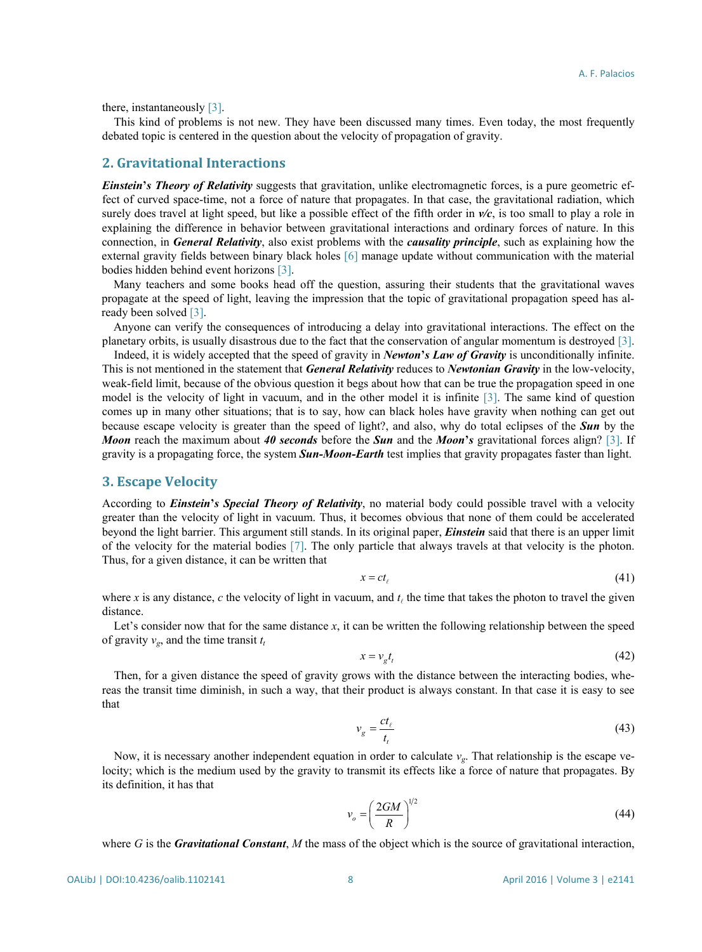there, instantaneously [\[3\].](#page-9-2)

This kind of problems is not new. They have been discussed many times. Even today, the most frequently debated topic is centered in the question about the velocity of propagation of gravity.

# **2. Gravitational Interactions**

*Einstein***'***s Theory of Relativity* suggests that gravitation, unlike electromagnetic forces, is a pure geometric effect of curved space-time, not a force of nature that propagates. In that case, the gravitational radiation, which surely does travel at light speed, but like a possible effect of the fifth order in *v/c*, is too small to play a role in explaining the difference in behavior between gravitational interactions and ordinary forces of nature. In this connection, in *General Relativity*, also exist problems with the *causality principle*, such as explaining how the external gravity fields between binary black holes [\[6\]](#page-9-5) manage update without communication with the material bodies hidden behind event horizons [\[3\].](#page-9-2)

Many teachers and some books head off the question, assuring their students that the gravitational waves propagate at the speed of light, leaving the impression that the topic of gravitational propagation speed has already been solved [\[3\].](#page-9-2)

Anyone can verify the consequences of introducing a delay into gravitational interactions. The effect on the planetary orbits, is usually disastrous due to the fact that the conservation of angular momentum is destroyed [\[3\].](#page-9-2)

Indeed, it is widely accepted that the speed of gravity in *Newton***'***s Law of Gravity* is unconditionally infinite. This is not mentioned in the statement that *General Relativity* reduces to *Newtonian Gravity* in the low-velocity, weak-field limit, because of the obvious question it begs about how that can be true the propagation speed in one model is the velocity of light in vacuum, and in the other model it is infinite [\[3\].](#page-9-2) The same kind of question comes up in many other situations; that is to say, how can black holes have gravity when nothing can get out because escape velocity is greater than the speed of light?, and also, why do total eclipses of the *Sun* by the *Moon* reach the maximum about *40 seconds* before the *Sun* and the *Moon***'***s* gravitational forces align? [\[3\].](#page-9-2) If gravity is a propagating force, the system *Sun-Moon-Earth* test implies that gravity propagates faster than light.

## **3. Escape Velocity**

According to *Einstein***'***s Special Theory of Relativity*, no material body could possible travel with a velocity greater than the velocity of light in vacuum. Thus, it becomes obvious that none of them could be accelerated beyond the light barrier. This argument still stands. In its original paper, *Einstein* said that there is an upper limit of the velocity for the material bodies [\[7\].](#page-9-6) The only particle that always travels at that velocity is the photon. Thus, for a given distance, it can be written that

$$
x = ct_{\ell} \tag{41}
$$

where *x* is any distance, *c* the velocity of light in vacuum, and  $t<sub>i</sub>$  the time that takes the photon to travel the given distance.

Let's consider now that for the same distance *x*, it can be written the following relationship between the speed of gravity  $v_{\rm g}$ , and the time transit  $t_{\rm t}$ 

$$
x = v_g t_t \tag{42}
$$

Then, for a given distance the speed of gravity grows with the distance between the interacting bodies, whereas the transit time diminish, in such a way, that their product is always constant. In that case it is easy to see that

$$
v_g = \frac{ct_\ell}{t_t} \tag{43}
$$

Now, it is necessary another independent equation in order to calculate  $v_g$ . That relationship is the escape velocity; which is the medium used by the gravity to transmit its effects like a force of nature that propagates. By its definition, it has that

$$
v_o = \left(\frac{2GM}{R}\right)^{1/2} \tag{44}
$$

where *G* is the *Gravitational Constant*, *M* the mass of the object which is the source of gravitational interaction,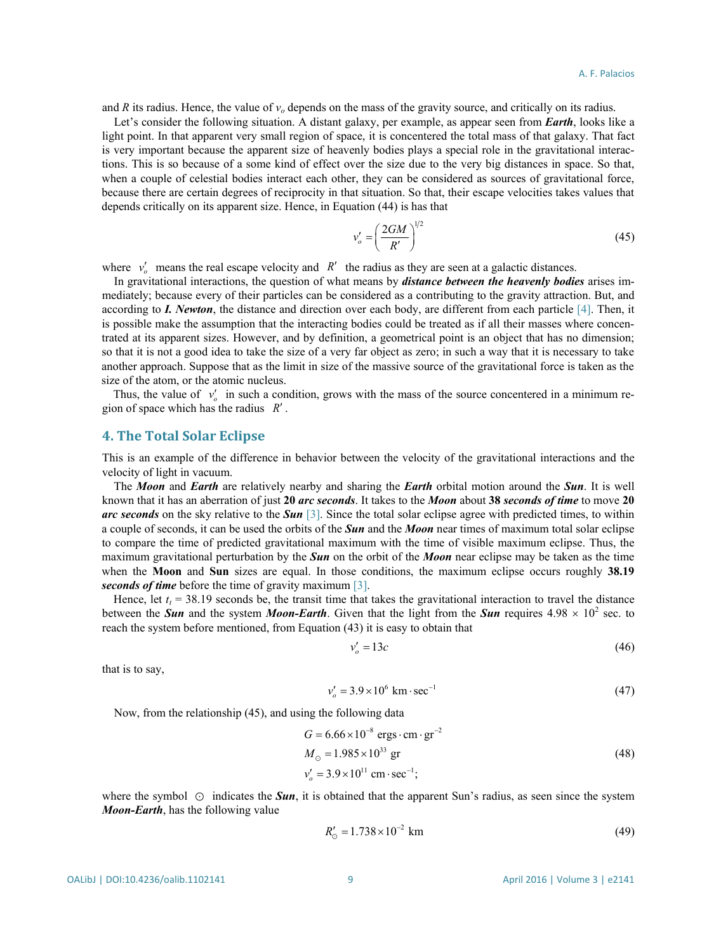and *R* its radius. Hence, the value of  $v_0$  depends on the mass of the gravity source, and critically on its radius.

Let's consider the following situation. A distant galaxy, per example, as appear seen from *Earth*, looks like a light point. In that apparent very small region of space, it is concentered the total mass of that galaxy. That fact is very important because the apparent size of heavenly bodies plays a special role in the gravitational interactions. This is so because of a some kind of effect over the size due to the very big distances in space. So that, when a couple of celestial bodies interact each other, they can be considered as sources of gravitational force, because there are certain degrees of reciprocity in that situation. So that, their escape velocities takes values that depends critically on its apparent size. Hence, in Equation (44) is has that

$$
v_o' = \left(\frac{2GM}{R'}\right)^{1/2} \tag{45}
$$

where  $v'_o$  means the real escape velocity and *R'* the radius as they are seen at a galactic distances.

In gravitational interactions, the question of what means by *distance between the heavenly bodies* arises immediately; because every of their particles can be considered as a contributing to the gravity attraction. But, and according to *I. Newton*, the distance and direction over each body, are different from each particle [\[4\].](#page-9-3) Then, it is possible make the assumption that the interacting bodies could be treated as if all their masses where concentrated at its apparent sizes. However, and by definition, a geometrical point is an object that has no dimension; so that it is not a good idea to take the size of a very far object as zero; in such a way that it is necessary to take another approach. Suppose that as the limit in size of the massive source of the gravitational force is taken as the size of the atom, or the atomic nucleus.

Thus, the value of  $v'_0$  in such a condition, grows with the mass of the source concentered in a minimum region of space which has the radius *R*′ .

## **4. The Total Solar Eclipse**

This is an example of the difference in behavior between the velocity of the gravitational interactions and the velocity of light in vacuum.

The *Moon* and *Earth* are relatively nearby and sharing the *Earth* orbital motion around the *Sun*. It is well known that it has an aberration of just **20** *arc seconds*. It takes to the *Moon* about **38** *seconds of time* to move **20** *arc seconds* on the sky relative to the *Sun* [\[3\].](#page-9-2) Since the total solar eclipse agree with predicted times, to within a couple of seconds, it can be used the orbits of the *Sun* and the *Moon* near times of maximum total solar eclipse to compare the time of predicted gravitational maximum with the time of visible maximum eclipse. Thus, the maximum gravitational perturbation by the *Sun* on the orbit of the *Moon* near eclipse may be taken as the time when the **Moon** and **Sun** sizes are equal. In those conditions, the maximum eclipse occurs roughly **38.19** *seconds of time* before the time of gravity maximum [\[3\].](#page-9-2)

Hence, let  $t<sub>t</sub> = 38.19$  seconds be, the transit time that takes the gravitational interaction to travel the distance between the *Sun* and the system *Moon-Earth*. Given that the light from the *Sun* requires  $4.98 \times 10^2$  sec. to reach the system before mentioned, from Equation (43) it is easy to obtain that

$$
v_o' = 13c \tag{46}
$$

that is to say,

$$
v'_{o} = 3.9 \times 10^{6} \text{ km} \cdot \text{sec}^{-1}
$$
 (47)

Now, from the relationship (45), and using the following data

$$
G = 6.66 \times 10^{-8} \text{ ergs} \cdot \text{cm} \cdot \text{gr}^{-2}
$$
  
\n
$$
M_{\odot} = 1.985 \times 10^{33} \text{ gr}
$$
  
\n
$$
v_o' = 3.9 \times 10^{11} \text{ cm} \cdot \text{sec}^{-1};
$$
\n(48)

where the symbol  $\odot$  indicates the *Sun*, it is obtained that the apparent Sun's radius, as seen since the system *Moon-Earth*, has the following value

$$
R'_{\odot} = 1.738 \times 10^{-2} \text{ km} \tag{49}
$$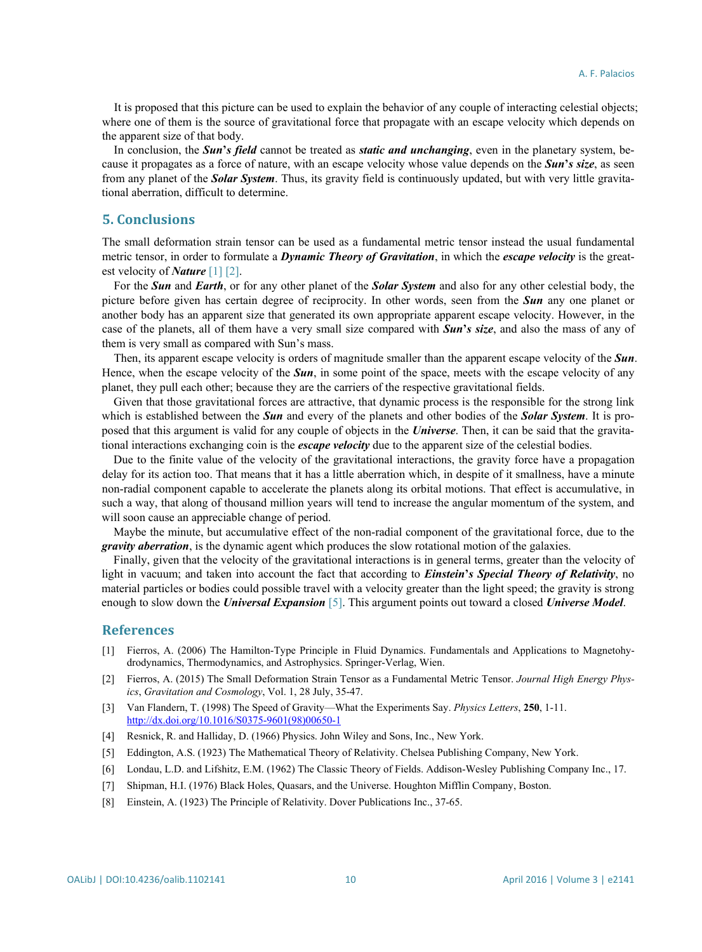It is proposed that this picture can be used to explain the behavior of any couple of interacting celestial objects; where one of them is the source of gravitational force that propagate with an escape velocity which depends on the apparent size of that body.

In conclusion, the *Sun***'***s field* cannot be treated as *static and unchanging*, even in the planetary system, because it propagates as a force of nature, with an escape velocity whose value depends on the *Sun***'***s size*, as seen from any planet of the *Solar System*. Thus, its gravity field is continuously updated, but with very little gravitational aberration, difficult to determine.

# **5. Conclusions**

The small deformation strain tensor can be used as a fundamental metric tensor instead the usual fundamental metric tensor, in order to formulate a *Dynamic Theory of Gravitation*, in which the *escape velocity* is the greatest velocity of *Nature* [\[1\]](#page-9-0) [\[2\].](#page-9-1)

For the *Sun* and *Earth*, or for any other planet of the *Solar System* and also for any other celestial body, the picture before given has certain degree of reciprocity. In other words, seen from the *Sun* any one planet or another body has an apparent size that generated its own appropriate apparent escape velocity. However, in the case of the planets, all of them have a very small size compared with *Sun***'***s size*, and also the mass of any of them is very small as compared with Sun's mass.

Then, its apparent escape velocity is orders of magnitude smaller than the apparent escape velocity of the *Sun*. Hence, when the escape velocity of the *Sun*, in some point of the space, meets with the escape velocity of any planet, they pull each other; because they are the carriers of the respective gravitational fields.

Given that those gravitational forces are attractive, that dynamic process is the responsible for the strong link which is established between the *Sun* and every of the planets and other bodies of the *Solar System*. It is proposed that this argument is valid for any couple of objects in the *Universe*. Then, it can be said that the gravitational interactions exchanging coin is the *escape velocity* due to the apparent size of the celestial bodies.

Due to the finite value of the velocity of the gravitational interactions, the gravity force have a propagation delay for its action too. That means that it has a little aberration which, in despite of it smallness, have a minute non-radial component capable to accelerate the planets along its orbital motions. That effect is accumulative, in such a way, that along of thousand million years will tend to increase the angular momentum of the system, and will soon cause an appreciable change of period.

Maybe the minute, but accumulative effect of the non-radial component of the gravitational force, due to the *gravity aberration*, is the dynamic agent which produces the slow rotational motion of the galaxies.

Finally, given that the velocity of the gravitational interactions is in general terms, greater than the velocity of light in vacuum; and taken into account the fact that according to *Einstein***'***s Special Theory of Relativity*, no material particles or bodies could possible travel with a velocity greater than the light speed; the gravity is strong enough to slow down the *Universal Expansion* [\[5\].](#page-9-4) This argument points out toward a closed *Universe Model*.

## **References**

- <span id="page-9-0"></span>[1] Fierros, A. (2006) The Hamilton-Type Principle in Fluid Dynamics. Fundamentals and Applications to Magnetohydrodynamics, Thermodynamics, and Astrophysics. Springer-Verlag, Wien.
- <span id="page-9-1"></span>[2] Fierros, A. (2015) The Small Deformation Strain Tensor as a Fundamental Metric Tensor. *Journal High Energy Physics*, *Gravitation and Cosmology*, Vol. 1, 28 July, 35-47.
- <span id="page-9-2"></span>[3] Van Flandern, T. (1998) The Speed of Gravity—What the Experiments Say. *Physics Letters*, **250**, 1-11. [http://dx.doi.org/10.1016/S0375-9601\(98\)00650-1](http://dx.doi.org/10.1016/S0375-9601(98)00650-1)
- <span id="page-9-3"></span>[4] Resnick, R. and Halliday, D. (1966) Physics. John Wiley and Sons, Inc., New York.
- <span id="page-9-4"></span>[5] Eddington, A.S. (1923) The Mathematical Theory of Relativity. Chelsea Publishing Company, New York.
- <span id="page-9-5"></span>[6] Londau, L.D. and Lifshitz, E.M. (1962) The Classic Theory of Fields. Addison-Wesley Publishing Company Inc., 17.
- <span id="page-9-6"></span>[7] Shipman, H.I. (1976) Black Holes, Quasars, and the Universe. Houghton Mifflin Company, Boston.
- [8] Einstein, A. (1923) The Principle of Relativity. Dover Publications Inc., 37-65.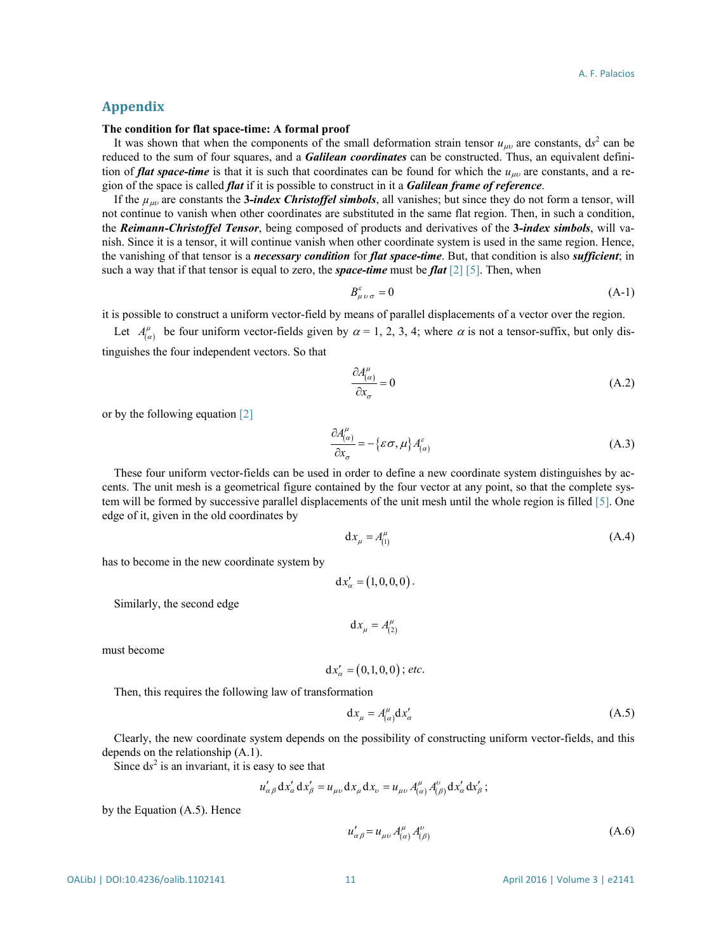# **Appendix**

#### **The condition for flat space-time: A formal proof**

It was shown that when the components of the small deformation strain tensor  $u_{\mu\nu}$  are constants,  $ds^2$  can be reduced to the sum of four squares, and a *Galilean coordinates* can be constructed. Thus, an equivalent definition of *flat space-time* is that it is such that coordinates can be found for which the *u<sub>μ</sub>*υ are constants, and a region of the space is called *flat* if it is possible to construct in it a *Galilean frame of reference*.

If the *µ*µυ are constants the **3***-index Christoffel simbols*, all vanishes; but since they do not form a tensor, will not continue to vanish when other coordinates are substituted in the same flat region. Then, in such a condition, the *Reimann-Christoffel Tensor*, being composed of products and derivatives of the **3***-index simbols*, will vanish. Since it is a tensor, it will continue vanish when other coordinate system is used in the same region. Hence, the vanishing of that tensor is a *necessary condition* for *flat space-time*. But, that condition is also *sufficient*; in such a way that if that tensor is equal to zero, the *space-time* must be *flat* [\[2\]](#page-9-1) [\[5\].](#page-9-4) Then, when

$$
B^{\varepsilon}_{\mu\nu\sigma} = 0 \tag{A-1}
$$

it is possible to construct a uniform vector-field by means of parallel displacements of a vector over the region.

Let  $A_{(a)}^{\mu}$  be four uniform vector-fields given by  $\alpha = 1, 2, 3, 4$ ; where  $\alpha$  is not a tensor-suffix, but only distinguishes the four independent vectors. So that

$$
\frac{\partial A_{(\alpha)}^{\mu}}{\partial x_{\sigma}} = 0 \tag{A.2}
$$

or by the following equation [\[2\]](#page-9-1)

$$
\frac{\partial A^{\mu}_{(\alpha)}}{\partial x_{\sigma}} = -\{\varepsilon \sigma, \mu\} A^{\varepsilon}_{(\alpha)}
$$
\n(A.3)

These four uniform vector-fields can be used in order to define a new coordinate system distinguishes by accents. The unit mesh is a geometrical figure contained by the four vector at any point, so that the complete system will be formed by successive parallel displacements of the unit mesh until the whole region is filled [\[5\].](#page-9-4) One edge of it, given in the old coordinates by

$$
\mathrm{d}x_{\mu} = A_{(1)}^{\mu} \tag{A.4}
$$

has to become in the new coordinate system by

$$
dx'_{\alpha} = (1, 0, 0, 0).
$$

Similarly, the second edge

 $dx_{\mu} = A^{\mu}_{(2)}$ 

must become

$$
dx'_{\alpha} = (0,1,0,0); etc.
$$

Then, this requires the following law of transformation

$$
dx_{\mu} = A_{(\alpha)}^{\mu} dx_{\alpha}^{\prime}
$$
 (A.5)

Clearly, the new coordinate system depends on the possibility of constructing uniform vector-fields, and this depends on the relationship (A.1).

Since  $ds^2$  is an invariant, it is easy to see that

$$
u'_{\alpha\beta} dx'_{\alpha} dx'_{\beta} = u_{\mu\nu} dx_{\mu} dx_{\nu} = u_{\mu\nu} A^{\mu}_{(\alpha)} A^{\nu}_{(\beta)} dx'_{\alpha} dx'_{\beta};
$$

by the Equation (A.5). Hence

$$
u'_{\alpha\beta} = u_{\mu\nu} A^{\mu}_{(\alpha)} A^{\nu}_{(\beta)}
$$
 (A.6)